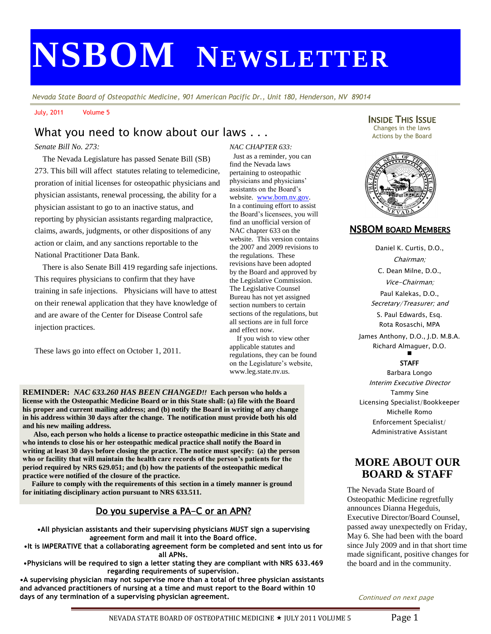# **NSBOM NEWSLETTER**

*Nevada State Board of Osteopathic Medicine, 901 American Pacific Dr., Unit 180, Henderson, NV 89014*

July, 2011 Volume 5

# What you need to know about our laws . . .

#### *Senate Bill No. 273:*

 The Nevada Legislature has passed Senate Bill (SB) 273. This bill will affect statutes relating to telemedicine, proration of initial licenses for osteopathic physicians and physician assistants, renewal processing, the ability for a physician assistant to go to an inactive status, and reporting by physician assistants regarding malpractice, claims, awards, judgments, or other dispositions of any action or claim, and any sanctions reportable to the National Practitioner Data Bank.

 There is also Senate Bill 419 regarding safe injections. This requires physicians to confirm that they have training in safe injections. Physicians will have to attest on their renewal application that they have knowledge of and are aware of the Center for Disease Control safe injection practices.

These laws go into effect on October 1, 2011.

j

*NAC CHAPTER 633:*  Just as a reminder, you can find the Nevada laws pertaining to osteopathic physicians and physicians' assistants on the Board's website. [www.bom.nv.gov.](http://www.bom.nv.gov/)  In a continuing effort to assist the Board's licensees, you will find an unofficial version of NAC chapter 633 on the website. This version contains the 2007 and 2009 revisions to the regulations. These revisions have been adopted by the Board and approved by the Legislative Commission. The Legislative Counsel Bureau has not yet assigned section numbers to certain sections of the regulations, but all sections are in full force and effect now.

 If you wish to view other applicable statutes and regulations, they can be found on the Legislature's website, www.leg.state.nv.us.

**REMINDER:** *NAC 633.260 HAS BEEN CHANGED!!* **Each person who holds a license with the Osteopathic Medicine Board or in this State shall: (a) file with the Board his proper and current mailing address; and (b) notify the Board in writing of any change in his address within 30 days after the change. The notification must provide both his old and his new mailing address.** 

 **Also, each person who holds a license to practice osteopathic medicine in this State and who intends to close his or her osteopathic medical practice shall notify the Board in writing at least 30 days before closing the practice. The notice must specify: (a) the person who or facility that will maintain the health care records of the person's patients for the period required by NRS 629.051; and (b) how the patients of the osteopathic medical practice were notified of the closure of the practice.** 

 **Failure to comply with the requirements of this section in a timely manner is ground for initiating disciplinary action pursuant to NRS 633.511.** 

# Do you supervise a PA-C or an APN?

**•All physician assistants and their supervising physicians MUST sign a supervising agreement form and mail it into the Board office.**

**•It is IMPERATIVE that a collaborating agreement form be completed and sent into us for all APNs.**

**•Physicians will be required to sign a letter stating they are compliant with NRS 633.469 regarding requirements of supervision.**

**•A supervising physician may not supervise more than a total of three physician assistants and advanced practitioners of nursing at a time and must report to the Board within 10 days of any termination of a supervising physician agreement.**

INSIDE THIS ISSUE Changes in the laws Actions by the Board



#### NSBOM BOARD MEMBERS

Daniel K. Curtis, D.O., Chairman; C. Dean Milne, D.O., Vice-Chairman; Paul Kalekas, D.O., Secretary/Treasurer; and S. Paul Edwards, Esq.

Rota Rosaschi, MPA

James Anthony, D.O., J.D. M.B.A. Richard Almaguer, D.O. Ξ

#### **STAFF**

Barbara Longo Interim Executive Director Tammy Sine Licensing Specialist/Bookkeeper Michelle Romo Enforcement Specialist/ Administrative Assistant

## **MORE ABOUT OUR BOARD & STAFF**

The Nevada State Board of Osteopathic Medicine regretfully announces Dianna Hegeduis, Executive Director/Board Counsel, passed away unexpectedly on Friday, May 6. She had been with the board since July 2009 and in that short time made significant, positive changes for the board and in the community.

Continued on next page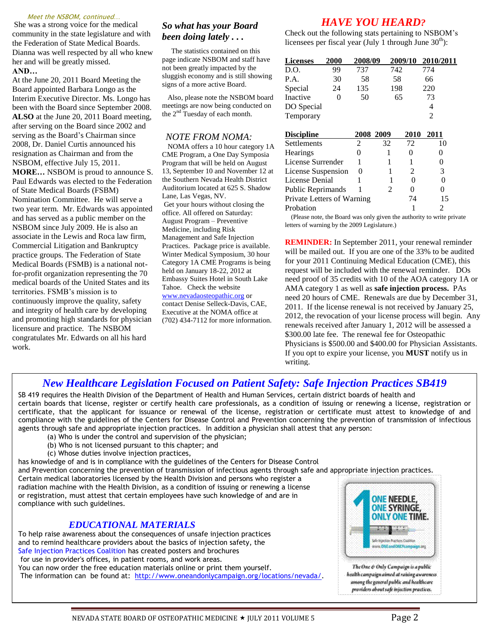#### Meet the NSBOM, continued…

She was a strong voice for the medical community in the state legislature and with the Federation of State Medical Boards. Dianna was well respected by all who knew her and will be greatly missed. **AND…**

At the June 20, 2011 Board Meeting the Board appointed Barbara Longo as the Interim Executive Director. Ms. Longo has been with the Board since September 2008. **ALSO** at the June 20, 2011 Board meeting, after serving on the Board since 2002 and serving as the Board's Chairman since 2008, Dr. Daniel Curtis announced his resignation as Chairman and from the NSBOM, effective July 15, 2011. **MORE…** NSBOM is proud to announce S. Paul Edwards was elected to the Federation of State Medical Boards (FSBM) Nomination Committee. He will serve a two year term. Mr. Edwards was appointed and has served as a public member on the NSBOM since July 2009. He is also an associate in the Lewis and Roca law firm, Commercial Litigation and Bankruptcy practice groups. The Federation of State Medical Boards (FSMB) is a national notfor-profit organization representing the 70 medical boards of the United States and its territories. FSMB's mission is to continuously improve the quality, safety and integrity of health care by developing and promoting high standards for physician licensure and practice*.* The NSBOM congratulates Mr. Edwards on all his hard work.

#### *So what has your Board been doing lately . . .*

The statistics contained on this page indicate NSBOM and staff have not been greatly impacted by the sluggish economy and is still showing signs of a more active Board.

 Also, please note the NSBOM board meetings are now being conducted on the 2nd Tuesday of each month.

#### *NOTE FROM NOMA:*

 NOMA offers a 10 hour category 1A CME Program, a One Day Symposia Program that will be held on August 13, September 10 and November 12 at the Southern Nevada Health District Auditorium located at 625 S. Shadow Lane, Las Vegas, NV. Get your hours without closing the office. All offered on Saturday: August Program – Preventive Medicine, including Risk Management and Safe Injection Practices. Package price is available. Winter Medical Symposium, 30 hour Category 1A CME Programs is being held on January 18-22, 2012 at Embassy Suites Hotel in South Lake Tahoe. Check the website [www.nevadaosteopathic.org](http://www.nevadaosteopathic.org/) or contact Denise Selleck-Davis, CAE, Executive at the NOMA office at (702) 434-7112 for more information.

# *HAVE YOU HEARD?*

Check out the following stats pertaining to NSBOM's licensees per fiscal year (July 1 through June  $30<sup>th</sup>$ ):

| <b>Licenses</b> | 2000 | 2008/09 | 2009/10 | 2010/2011      |
|-----------------|------|---------|---------|----------------|
| D.O.            | 99   | 737     | 742     | 774            |
| P.A.            | 30   | 58      | 58      | 66             |
| Special         | 24   | 135     | 198     | 220            |
| Inactive        |      | 50      | 65      | 73             |
| DO Special      |      |         |         | 4              |
| Temporary       |      |         |         | $\mathfrak{D}$ |
|                 |      |         |         |                |

| <b>Discipline</b>          |   | 2008 2009 | 2010           | 2011 |
|----------------------------|---|-----------|----------------|------|
| Settlements                |   | 32        | 72             | 10   |
| Hearings                   |   |           |                |      |
| License Surrender          |   |           |                |      |
| License Suspension         | 0 |           | $\mathfrak{D}$ | 3    |
| License Denial             |   |           |                |      |
| Public Reprimands          |   | 2         | 0              |      |
| Private Letters of Warning |   |           | 74             | 15   |
| Probation                  |   |           |                |      |
|                            |   |           |                |      |

 (Please note, the Board was only given the authority to write private letters of warning by the 2009 Legislature.)

**REMINDER:** In September 2011, your renewal reminder will be mailed out. If you are one of the 33% to be audited for your 2011 Continuing Medical Education (CME), this request will be included with the renewal reminder. DOs need proof of 35 credits with 10 of the AOA category 1A or AMA category 1 as well as **safe injection process.** PAs need 20 hours of CME. Renewals are due by December 31, 2011. If the license renewal is not received by January 25, 2012, the revocation of your license process will begin. Any renewals received after January 1, 2012 will be assessed a \$300.00 late fee. The renewal fee for Osteopathic Physicians is \$500.00 and \$400.00 for Physician Assistants. If you opt to expire your license, you **MUST** notify us in writing.

# *New Healthcare Legislation Focused on Patient Safety: Safe Injection Practices SB419*

SB 419 requires the Health Division of the Department of Health and Human Services, certain district boards of health and certain boards that license, register or certify health care professionals, as a condition of issuing or renewing a license, registration or certificate, that the applicant for issuance or renewal of the license, registration or certificate must attest to knowledge of and compliance with the guidelines of the Centers for Disease Control and Prevention concerning the prevention of transmission of infectious agents through safe and appropriate injection practices. In addition a physician shall attest that any person:

- (a) Who is under the control and supervision of the physician;
- (b) Who is not licensed pursuant to this chapter; and
- (c) Whose duties involve injection practices,
- has knowledge of and is in compliance with the guidelines of the Centers for Disease Control

and Prevention concerning the prevention of transmission of infectious agents through safe and appropriate injection practices.

Certain medical laboratories licensed by the Health Division and persons who register a radiation machine with the Health Division, as a condition of issuing or renewing a license or registration, must attest that certain employees have such knowledge of and are in compliance with such guidelines.

#### *EDUCATIONAL MATERIALS*

To help raise awareness about the consequences of unsafe injection practices and to remind healthcare providers about the basics of injection safety, the [Safe Injection Practices Coalition](http://www.oneandonlycampaign.org/about/coalition/default.aspx) has created posters and brochures for use in provider's offices, in patient rooms, and work areas. You can now order the free education materials online or print them yourself. The information can be found at: [http://www.oneandonlycampaign.org/locations/nevada/.](http://www.oneandonlycampaign.org/locations/nevada/)



The One & Only Campaign is a public health campaign aimed at raising awareness umong the general public and healthcare providers about safe injection practices.